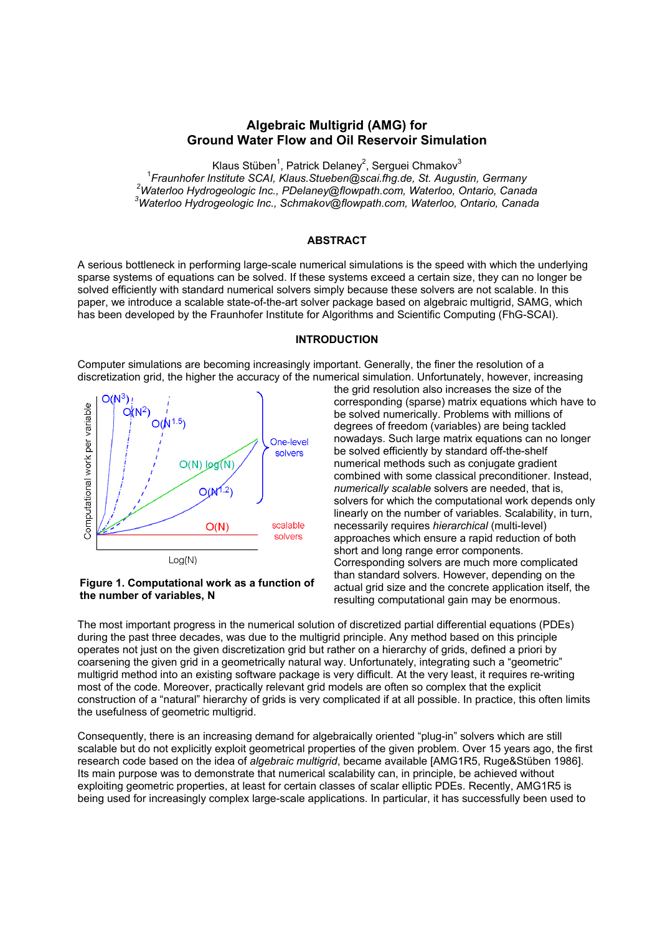# **Algebraic Multigrid (AMG) for Ground Water Flow and Oil Reservoir Simulation**

Klaus Stüben<sup>1</sup>, Patrick Delaney<sup>2</sup>, Serguei Chmakov<sup>3</sup> <sup>1</sup> Fraunhofer Institute SCAI, Klaus. Stueben@scai.fhg.de, St. Augustin, Germany <sup>2</sup><br><sup>2</sup>Wets:lee Hydrogeologie.lne, RDelaney@flaunath.com, Wets:lee, Ontario, Conce *Waterloo Hydrogeologic Inc., PDelaney@flowpath.com, Waterloo, Ontario, Canada 3 Waterloo Hydrogeologic Inc., Schmakov@flowpath.com, Waterloo, Ontario, Canada* 

## **ABSTRACT**

A serious bottleneck in performing large-scale numerical simulations is the speed with which the underlying sparse systems of equations can be solved. If these systems exceed a certain size, they can no longer be solved efficiently with standard numerical solvers simply because these solvers are not scalable. In this paper, we introduce a scalable state-of-the-art solver package based on algebraic multigrid, SAMG, which has been developed by the Fraunhofer Institute for Algorithms and Scientific Computing (FhG-SCAI).

#### **INTRODUCTION**

Computer simulations are becoming increasingly important. Generally, the finer the resolution of a discretization grid, the higher the accuracy of the numerical simulation. Unfortunately, however, increasing



#### **Figure 1. Computational work as a function of the number of variables, N**

the grid resolution also increases the size of the corresponding (sparse) matrix equations which have to be solved numerically. Problems with millions of degrees of freedom (variables) are being tackled nowadays. Such large matrix equations can no longer be solved efficiently by standard off-the-shelf numerical methods such as conjugate gradient combined with some classical preconditioner. Instead, *numerically scalable* solvers are needed, that is, solvers for which the computational work depends only linearly on the number of variables. Scalability, in turn, necessarily requires *hierarchical* (multi-level) approaches which ensure a rapid reduction of both short and long range error components. Corresponding solvers are much more complicated than standard solvers. However, depending on the actual grid size and the concrete application itself, the resulting computational gain may be enormous.

The most important progress in the numerical solution of discretized partial differential equations (PDEs) during the past three decades, was due to the multigrid principle. Any method based on this principle operates not just on the given discretization grid but rather on a hierarchy of grids, defined a priori by coarsening the given grid in a geometrically natural way. Unfortunately, integrating such a "geometric" multigrid method into an existing software package is very difficult. At the very least, it requires re-writing most of the code. Moreover, practically relevant grid models are often so complex that the explicit construction of a "natural" hierarchy of grids is very complicated if at all possible. In practice, this often limits the usefulness of geometric multigrid.

Consequently, there is an increasing demand for algebraically oriented "plug-in" solvers which are still scalable but do not explicitly exploit geometrical properties of the given problem. Over 15 years ago, the first research code based on the idea of *algebraic multigrid*, became available [AMG1R5, Ruge&Stüben 1986]. Its main purpose was to demonstrate that numerical scalability can, in principle, be achieved without exploiting geometric properties, at least for certain classes of scalar elliptic PDEs. Recently, AMG1R5 is being used for increasingly complex large-scale applications. In particular, it has successfully been used to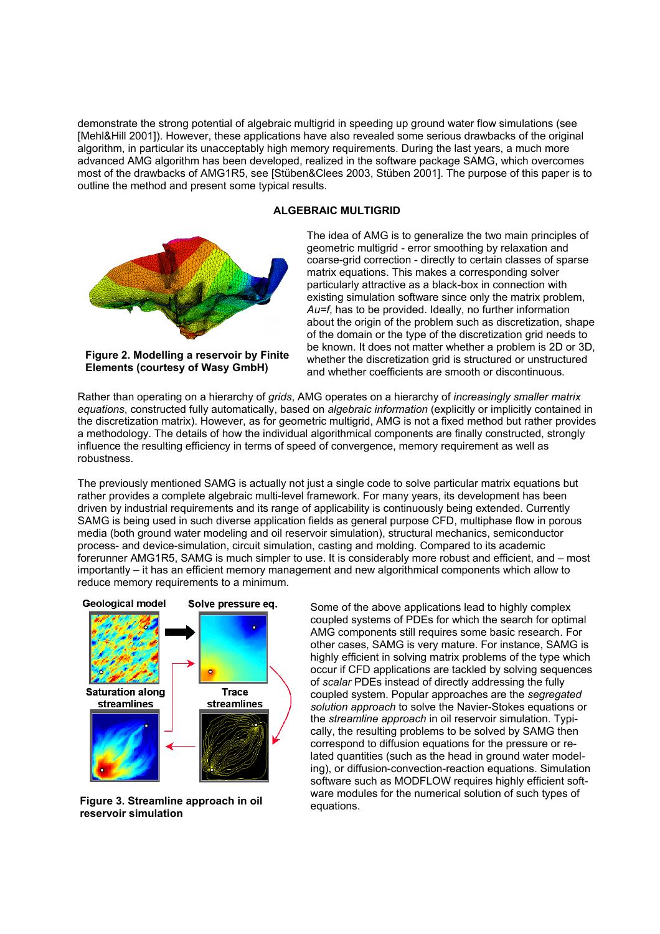demonstrate the strong potential of algebraic multigrid in speeding up ground water flow simulations (see [Mehl&Hill 2001]). However, these applications have also revealed some serious drawbacks of the original algorithm, in particular its unacceptably high memory requirements. During the last years, a much more advanced AMG algorithm has been developed, realized in the software package SAMG, which overcomes most of the drawbacks of AMG1R5, see [Stüben&Clees 2003, Stüben 2001]. The purpose of this paper is to outline the method and present some typical results.

### **ALGEBRAIC MULTIGRID**



**Figure 2. Modelling a reservoir by Finite Elements (courtesy of Wasy GmbH)** 

The idea of AMG is to generalize the two main principles of geometric multigrid - error smoothing by relaxation and coarse-grid correction - directly to certain classes of sparse matrix equations. This makes a corresponding solver particularly attractive as a black-box in connection with existing simulation software since only the matrix problem, *Au=f*, has to be provided. Ideally, no further information about the origin of the problem such as discretization, shape of the domain or the type of the discretization grid needs to be known. It does not matter whether a problem is 2D or 3D, whether the discretization grid is structured or unstructured and whether coefficients are smooth or discontinuous.

Rather than operating on a hierarchy of *grids*, AMG operates on a hierarchy of *increasingly smaller matrix equations*, constructed fully automatically, based on *algebraic information* (explicitly or implicitly contained in the discretization matrix). However, as for geometric multigrid, AMG is not a fixed method but rather provides a methodology. The details of how the individual algorithmical components are finally constructed, strongly influence the resulting efficiency in terms of speed of convergence, memory requirement as well as robustness.

The previously mentioned SAMG is actually not just a single code to solve particular matrix equations but rather provides a complete algebraic multi-level framework. For many years, its development has been driven by industrial requirements and its range of applicability is continuously being extended. Currently SAMG is being used in such diverse application fields as general purpose CFD, multiphase flow in porous media (both ground water modeling and oil reservoir simulation), structural mechanics, semiconductor process- and device-simulation, circuit simulation, casting and molding. Compared to its academic forerunner AMG1R5, SAMG is much simpler to use. It is considerably more robust and efficient, and – most importantly – it has an efficient memory management and new algorithmical components which allow to reduce memory requirements to a minimum.



**Figure 3. Streamline approach in oil reservoir simulation** 

Some of the above applications lead to highly complex coupled systems of PDEs for which the search for optimal AMG components still requires some basic research. For other cases, SAMG is very mature. For instance, SAMG is highly efficient in solving matrix problems of the type which occur if CFD applications are tackled by solving sequences of *scalar* PDEs instead of directly addressing the fully coupled system. Popular approaches are the *segregated solution approach* to solve the Navier-Stokes equations or the *streamline approach* in oil reservoir simulation. Typically, the resulting problems to be solved by SAMG then correspond to diffusion equations for the pressure or related quantities (such as the head in ground water modeling), or diffusion-convection-reaction equations. Simulation software such as MODFLOW requires highly efficient software modules for the numerical solution of such types of equations.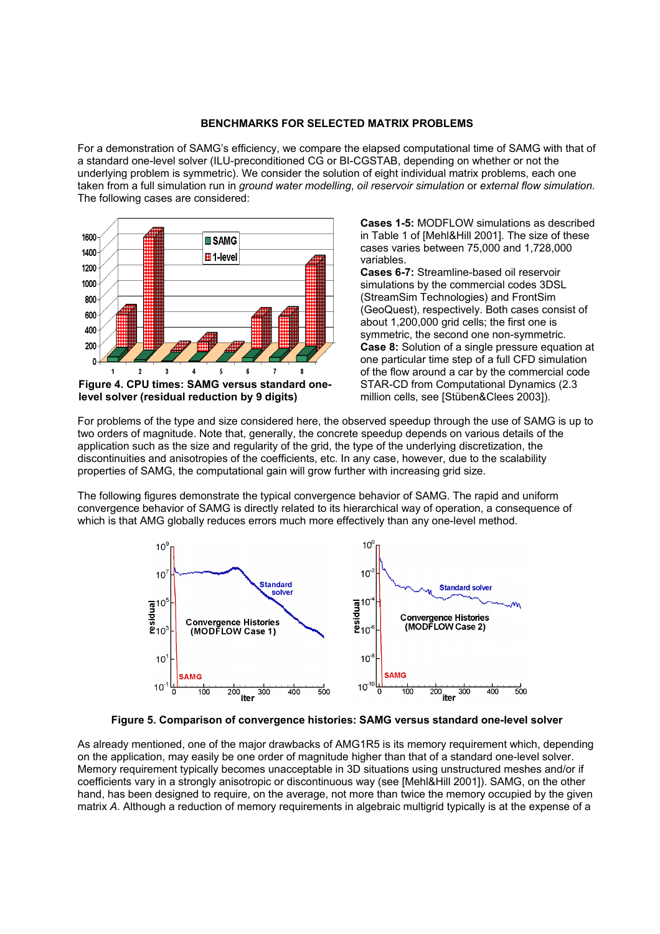#### **BENCHMARKS FOR SELECTED MATRIX PROBLEMS**

For a demonstration of SAMGís efficiency, we compare the elapsed computational time of SAMG with that of a standard one-level solver (ILU-preconditioned CG or BI-CGSTAB, depending on whether or not the underlying problem is symmetric). We consider the solution of eight individual matrix problems, each one taken from a full simulation run in *ground water modelling*, *oil reservoir simulation* or *external flow simulation*. The following cases are considered:



**Cases 1-5:** MODFLOW simulations as described in Table 1 of [Mehl&Hill 2001]. The size of these cases varies between 75,000 and 1,728,000 variables.

**Cases 6-7:** Streamline-based oil reservoir simulations by the commercial codes 3DSL (StreamSim Technologies) and FrontSim (GeoQuest), respectively. Both cases consist of about 1,200,000 grid cells; the first one is symmetric, the second one non-symmetric. **Case 8:** Solution of a single pressure equation at one particular time step of a full CFD simulation of the flow around a car by the commercial code STAR-CD from Computational Dynamics (2.3 million cells, see [Stüben&Clees 2003]).

For problems of the type and size considered here, the observed speedup through the use of SAMG is up to two orders of magnitude. Note that, generally, the concrete speedup depends on various details of the application such as the size and regularity of the grid, the type of the underlying discretization, the discontinuities and anisotropies of the coefficients, etc. In any case, however, due to the scalability properties of SAMG, the computational gain will grow further with increasing grid size.

The following figures demonstrate the typical convergence behavior of SAMG. The rapid and uniform convergence behavior of SAMG is directly related to its hierarchical way of operation, a consequence of which is that AMG globally reduces errors much more effectively than any one-level method.



**Figure 5. Comparison of convergence histories: SAMG versus standard one-level solver** 

As already mentioned, one of the major drawbacks of AMG1R5 is its memory requirement which, depending on the application, may easily be one order of magnitude higher than that of a standard one-level solver. Memory requirement typically becomes unacceptable in 3D situations using unstructured meshes and/or if coefficients vary in a strongly anisotropic or discontinuous way (see [Mehl&Hill 2001]). SAMG, on the other hand, has been designed to require, on the average, not more than twice the memory occupied by the given matrix *A*. Although a reduction of memory requirements in algebraic multigrid typically is at the expense of a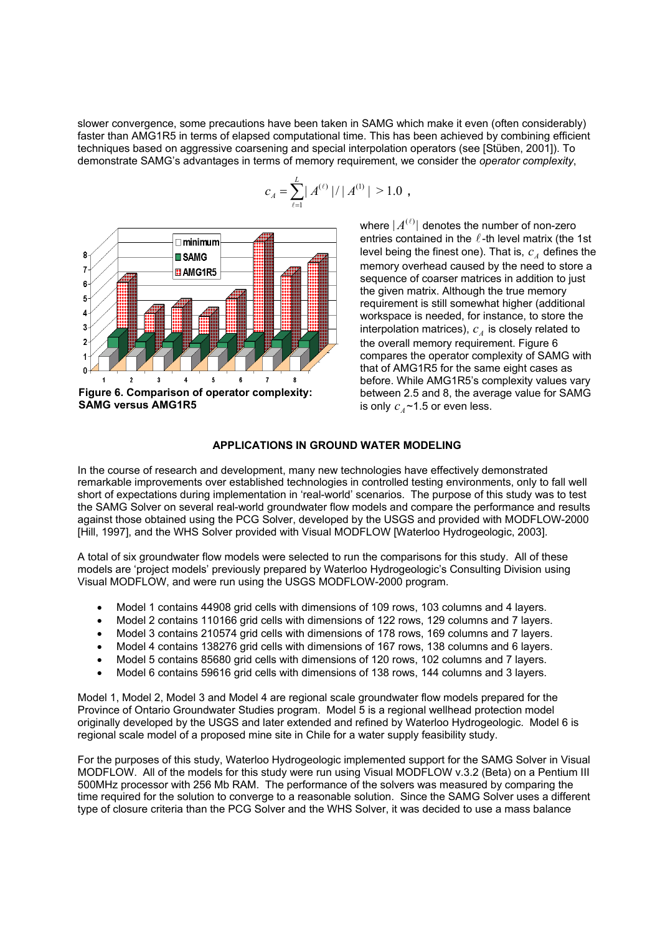slower convergence, some precautions have been taken in SAMG which make it even (often considerably) faster than AMG1R5 in terms of elapsed computational time. This has been achieved by combining efficient techniques based on aggressive coarsening and special interpolation operators (see [Stüben, 2001]). To demonstrate SAMGís advantages in terms of memory requirement, we consider the *operator complexity*,

 $(\ell)$  1/1  $\mathcal{A}^{(1)}$ 

 **,**

 $c_A = \sum^L |A^{(\ell)}| / |A^{(1)}| > 1.0$ 



**Figure 6. Comparison of operator complexity: SAMG versus AMG1R5** 

where  $|A^{(\ell)}|$  denotes the number of non-zero entries contained in the  $\ell$ -th level matrix (the 1st level being the finest one). That is,  $c_A$  defines the memory overhead caused by the need to store a sequence of coarser matrices in addition to just the given matrix. Although the true memory requirement is still somewhat higher (additional workspace is needed, for instance, to store the interpolation matrices),  $c_A$  is closely related to the overall memory requirement. Figure 6 compares the operator complexity of SAMG with that of AMG1R5 for the same eight cases as before. While AMG1R5's complexity values vary between 2.5 and 8, the average value for SAMG is only  $c_A \sim 1.5$  or even less.

#### **APPLICATIONS IN GROUND WATER MODELING**

In the course of research and development, many new technologies have effectively demonstrated remarkable improvements over established technologies in controlled testing environments, only to fall well short of expectations during implementation in 'real-world' scenarios. The purpose of this study was to test the SAMG Solver on several real-world groundwater flow models and compare the performance and results against those obtained using the PCG Solver, developed by the USGS and provided with MODFLOW-2000 [Hill, 1997], and the WHS Solver provided with Visual MODFLOW [Waterloo Hydrogeologic, 2003].

A total of six groundwater flow models were selected to run the comparisons for this study. All of these models are 'project models' previously prepared by Waterloo Hydrogeologic's Consulting Division using Visual MODFLOW, and were run using the USGS MODFLOW-2000 program.

- Model 1 contains 44908 grid cells with dimensions of 109 rows, 103 columns and 4 layers.
- Model 2 contains 110166 grid cells with dimensions of 122 rows, 129 columns and 7 layers.
- Model 3 contains 210574 grid cells with dimensions of 178 rows, 169 columns and 7 layers.
- Model 4 contains 138276 grid cells with dimensions of 167 rows, 138 columns and 6 layers.
- Model 5 contains 85680 grid cells with dimensions of 120 rows, 102 columns and 7 layers.
- Model 6 contains 59616 grid cells with dimensions of 138 rows, 144 columns and 3 layers.

Model 1, Model 2, Model 3 and Model 4 are regional scale groundwater flow models prepared for the Province of Ontario Groundwater Studies program. Model 5 is a regional wellhead protection model originally developed by the USGS and later extended and refined by Waterloo Hydrogeologic. Model 6 is regional scale model of a proposed mine site in Chile for a water supply feasibility study.

For the purposes of this study, Waterloo Hydrogeologic implemented support for the SAMG Solver in Visual MODFLOW. All of the models for this study were run using Visual MODFLOW v.3.2 (Beta) on a Pentium III 500MHz processor with 256 Mb RAM. The performance of the solvers was measured by comparing the time required for the solution to converge to a reasonable solution. Since the SAMG Solver uses a different type of closure criteria than the PCG Solver and the WHS Solver, it was decided to use a mass balance